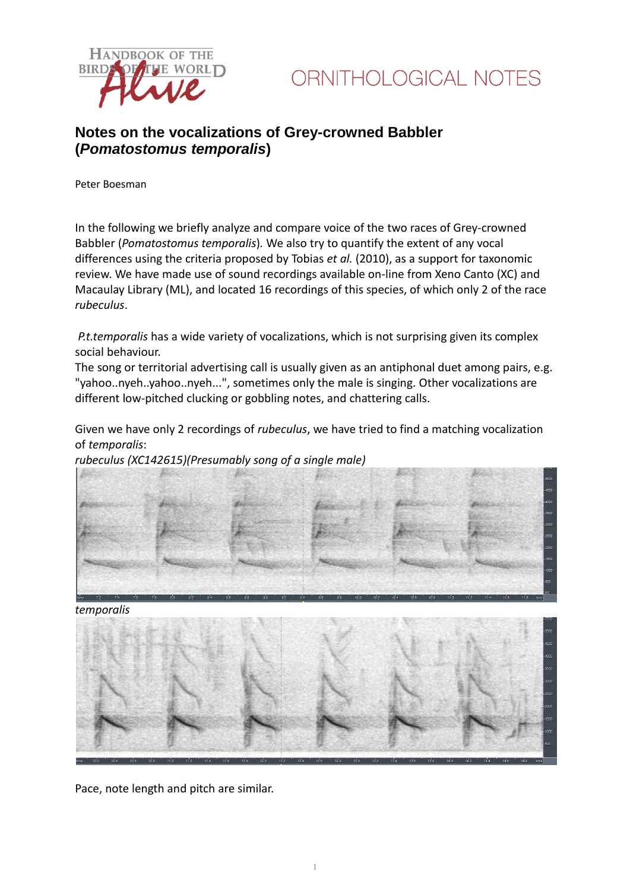

## **Notes on the vocalizations of Grey-crowned Babbler (***Pomatostomus temporalis***)**

Peter Boesman

In the following we briefly analyze and compare voice of the two races of Grey-crowned Babbler (*Pomatostomus temporalis*)*.* We also try to quantify the extent of any vocal differences using the criteria proposed by Tobias *et al.* (2010), as a support for taxonomic review. We have made use of sound recordings available on-line from Xeno Canto (XC) and Macaulay Library (ML), and located 16 recordings of this species, of which only 2 of the race *rubeculus*.

*P.t.temporalis* has a wide variety of vocalizations, which is not surprising given its complex social behaviour.

The song or territorial advertising call is usually given as an antiphonal duet among pairs, e.g. "yahoo..nyeh..yahoo..nyeh...", sometimes only the male is singing. Other vocalizations are different low-pitched clucking or gobbling notes, and chattering calls.

Given we have only 2 recordings of *rubeculus*, we have tried to find a matching vocalization of *temporalis*:

*rubeculus (XC142615)(Presumably song of a single male)*



*temporalis*



Pace, note length and pitch are similar.